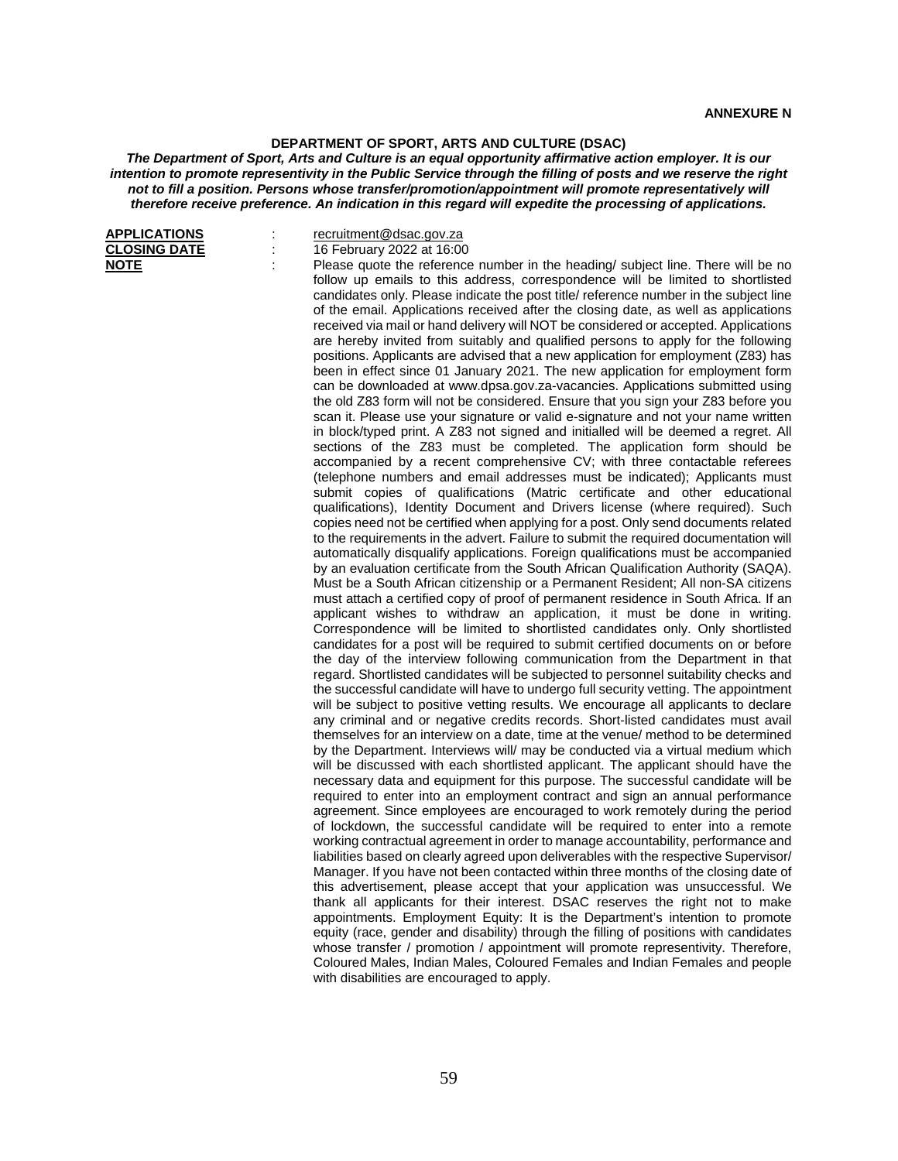## **DEPARTMENT OF SPORT, ARTS AND CULTURE (DSAC)**

*The Department of Sport, Arts and Culture is an equal opportunity affirmative action employer. It is our intention to promote representivity in the Public Service through the filling of posts and we reserve the right not to fill a position. Persons whose transfer/promotion/appointment will promote representatively will therefore receive preference. An indication in this regard will expedite the processing of applications.*

| <b>APPLICATIONS</b> |  |
|---------------------|--|
| <b>CLOSING DATE</b> |  |
| <b>NOTE</b>         |  |

| recruitment@dsac.gov.za   |
|---------------------------|
| 16 February 2022 at 16:00 |

CLOSING February 2022 at 16:00<br> **CLOSING PREASE PROPER FIGURE:** Please quote the reference number in the heading/ subject line. There will be no follow up emails to this address, correspondence will be limited to shortlisted candidates only. Please indicate the post title/ reference number in the subject line of the email. Applications received after the closing date, as well as applications received via mail or hand delivery will NOT be considered or accepted. Applications are hereby invited from suitably and qualified persons to apply for the following positions. Applicants are advised that a new application for employment (Z83) has been in effect since 01 January 2021. The new application for employment form can be downloaded at www.dpsa.gov.za-vacancies. Applications submitted using the old Z83 form will not be considered. Ensure that you sign your Z83 before you scan it. Please use your signature or valid e-signature and not your name written in block/typed print. A Z83 not signed and initialled will be deemed a regret. All sections of the Z83 must be completed. The application form should be accompanied by a recent comprehensive CV; with three contactable referees (telephone numbers and email addresses must be indicated); Applicants must submit copies of qualifications (Matric certificate and other educational qualifications), Identity Document and Drivers license (where required). Such copies need not be certified when applying for a post. Only send documents related to the requirements in the advert. Failure to submit the required documentation will automatically disqualify applications. Foreign qualifications must be accompanied by an evaluation certificate from the South African Qualification Authority (SAQA). Must be a South African citizenship or a Permanent Resident; All non-SA citizens must attach a certified copy of proof of permanent residence in South Africa. If an applicant wishes to withdraw an application, it must be done in writing. Correspondence will be limited to shortlisted candidates only. Only shortlisted candidates for a post will be required to submit certified documents on or before the day of the interview following communication from the Department in that regard. Shortlisted candidates will be subjected to personnel suitability checks and the successful candidate will have to undergo full security vetting. The appointment will be subject to positive vetting results. We encourage all applicants to declare any criminal and or negative credits records. Short-listed candidates must avail themselves for an interview on a date, time at the venue/ method to be determined by the Department. Interviews will/ may be conducted via a virtual medium which will be discussed with each shortlisted applicant. The applicant should have the necessary data and equipment for this purpose. The successful candidate will be required to enter into an employment contract and sign an annual performance agreement. Since employees are encouraged to work remotely during the period of lockdown, the successful candidate will be required to enter into a remote working contractual agreement in order to manage accountability, performance and liabilities based on clearly agreed upon deliverables with the respective Supervisor/ Manager. If you have not been contacted within three months of the closing date of this advertisement, please accept that your application was unsuccessful. We thank all applicants for their interest. DSAC reserves the right not to make appointments. Employment Equity: It is the Department's intention to promote equity (race, gender and disability) through the filling of positions with candidates whose transfer / promotion / appointment will promote representivity. Therefore, Coloured Males, Indian Males, Coloured Females and Indian Females and people with disabilities are encouraged to apply.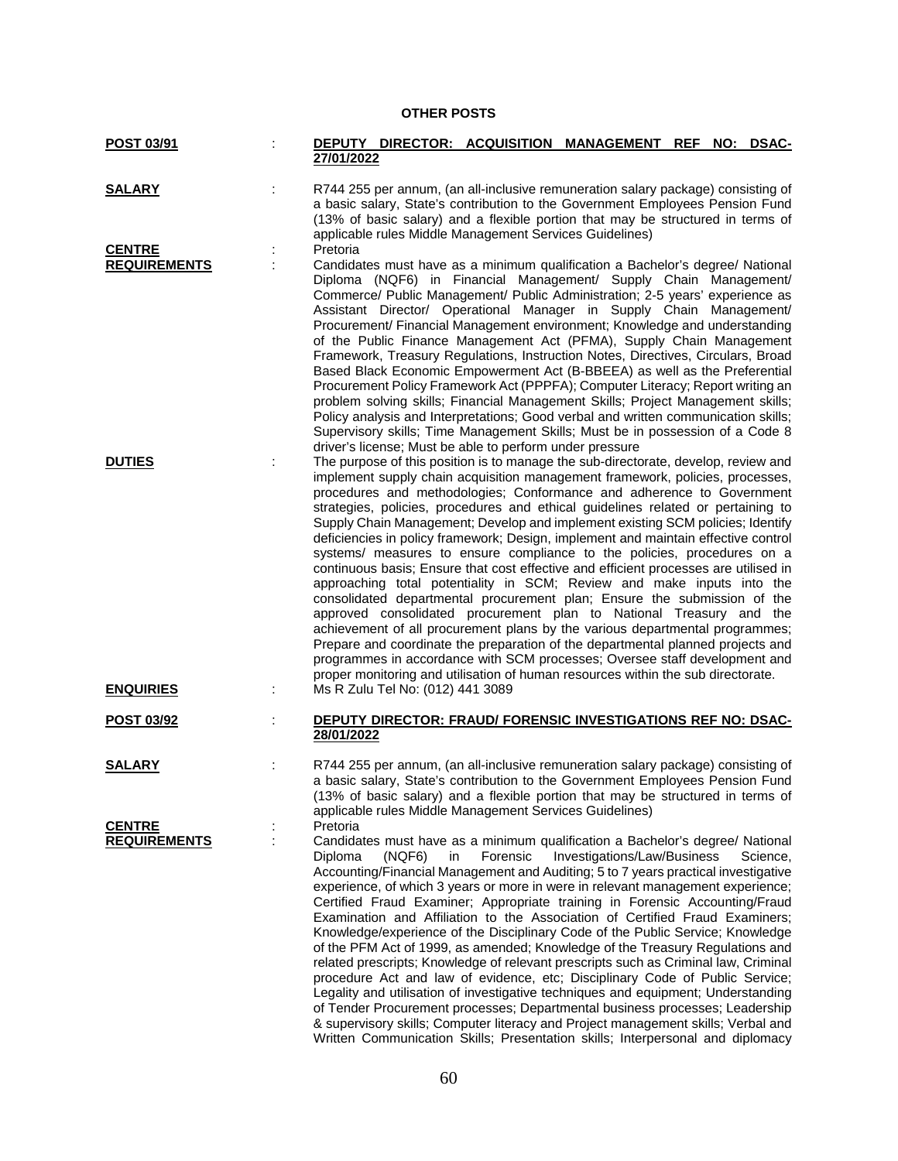## **OTHER POSTS**

| POST 03/91          |   | DEPUTY DIRECTOR: ACQUISITION MANAGEMENT<br>NO: DSAC-<br><b>REF</b><br>27/01/2022                                                                                                                                                                                                                                                                                                                                                                                                                                                                                                                                                                                                                                                                                                                                                                                                                                                                                                                                                                                                                                                                                                                                                                                                                          |
|---------------------|---|-----------------------------------------------------------------------------------------------------------------------------------------------------------------------------------------------------------------------------------------------------------------------------------------------------------------------------------------------------------------------------------------------------------------------------------------------------------------------------------------------------------------------------------------------------------------------------------------------------------------------------------------------------------------------------------------------------------------------------------------------------------------------------------------------------------------------------------------------------------------------------------------------------------------------------------------------------------------------------------------------------------------------------------------------------------------------------------------------------------------------------------------------------------------------------------------------------------------------------------------------------------------------------------------------------------|
| <b>SALARY</b>       |   | R744 255 per annum, (an all-inclusive remuneration salary package) consisting of<br>a basic salary, State's contribution to the Government Employees Pension Fund<br>(13% of basic salary) and a flexible portion that may be structured in terms of<br>applicable rules Middle Management Services Guidelines)                                                                                                                                                                                                                                                                                                                                                                                                                                                                                                                                                                                                                                                                                                                                                                                                                                                                                                                                                                                           |
| <b>CENTRE</b>       |   | Pretoria                                                                                                                                                                                                                                                                                                                                                                                                                                                                                                                                                                                                                                                                                                                                                                                                                                                                                                                                                                                                                                                                                                                                                                                                                                                                                                  |
|                     |   |                                                                                                                                                                                                                                                                                                                                                                                                                                                                                                                                                                                                                                                                                                                                                                                                                                                                                                                                                                                                                                                                                                                                                                                                                                                                                                           |
| <b>REQUIREMENTS</b> |   | Candidates must have as a minimum qualification a Bachelor's degree/ National<br>Diploma (NQF6) in Financial Management/ Supply Chain Management/<br>Commerce/ Public Management/ Public Administration; 2-5 years' experience as<br>Assistant Director/ Operational Manager in Supply Chain Management/<br>Procurement/ Financial Management environment; Knowledge and understanding<br>of the Public Finance Management Act (PFMA), Supply Chain Management<br>Framework, Treasury Regulations, Instruction Notes, Directives, Circulars, Broad<br>Based Black Economic Empowerment Act (B-BBEEA) as well as the Preferential<br>Procurement Policy Framework Act (PPPFA); Computer Literacy; Report writing an                                                                                                                                                                                                                                                                                                                                                                                                                                                                                                                                                                                        |
|                     |   | problem solving skills; Financial Management Skills; Project Management skills;<br>Policy analysis and Interpretations; Good verbal and written communication skills;<br>Supervisory skills; Time Management Skills; Must be in possession of a Code 8                                                                                                                                                                                                                                                                                                                                                                                                                                                                                                                                                                                                                                                                                                                                                                                                                                                                                                                                                                                                                                                    |
|                     |   |                                                                                                                                                                                                                                                                                                                                                                                                                                                                                                                                                                                                                                                                                                                                                                                                                                                                                                                                                                                                                                                                                                                                                                                                                                                                                                           |
| <b>DUTIES</b>       |   | driver's license; Must be able to perform under pressure<br>The purpose of this position is to manage the sub-directorate, develop, review and<br>implement supply chain acquisition management framework, policies, processes,<br>procedures and methodologies; Conformance and adherence to Government<br>strategies, policies, procedures and ethical guidelines related or pertaining to<br>Supply Chain Management; Develop and implement existing SCM policies; Identify<br>deficiencies in policy framework; Design, implement and maintain effective control<br>systems/ measures to ensure compliance to the policies, procedures on a<br>continuous basis; Ensure that cost effective and efficient processes are utilised in<br>approaching total potentiality in SCM; Review and make inputs into the<br>consolidated departmental procurement plan; Ensure the submission of the<br>approved consolidated procurement plan to National Treasury and the<br>achievement of all procurement plans by the various departmental programmes;<br>Prepare and coordinate the preparation of the departmental planned projects and<br>programmes in accordance with SCM processes; Oversee staff development and<br>proper monitoring and utilisation of human resources within the sub directorate. |
| <b>ENQUIRIES</b>    |   | Ms R Zulu Tel No: (012) 441 3089                                                                                                                                                                                                                                                                                                                                                                                                                                                                                                                                                                                                                                                                                                                                                                                                                                                                                                                                                                                                                                                                                                                                                                                                                                                                          |
| POST 03/92          |   | <b>DEPUTY DIRECTOR: FRAUD/ FORENSIC INVESTIGATIONS REF NO: DSAC-</b><br>28/01/2022                                                                                                                                                                                                                                                                                                                                                                                                                                                                                                                                                                                                                                                                                                                                                                                                                                                                                                                                                                                                                                                                                                                                                                                                                        |
| <b>SALARY</b>       |   | R744 255 per annum, (an all-inclusive remuneration salary package) consisting of<br>a basic salary, State's contribution to the Government Employees Pension Fund<br>(13% of basic salary) and a flexible portion that may be structured in terms of<br>applicable rules Middle Management Services Guidelines)                                                                                                                                                                                                                                                                                                                                                                                                                                                                                                                                                                                                                                                                                                                                                                                                                                                                                                                                                                                           |
| <b>CENTRE</b>       |   | Pretoria                                                                                                                                                                                                                                                                                                                                                                                                                                                                                                                                                                                                                                                                                                                                                                                                                                                                                                                                                                                                                                                                                                                                                                                                                                                                                                  |
| <b>REQUIREMENTS</b> | İ | Candidates must have as a minimum qualification a Bachelor's degree/ National<br>Forensic<br>Investigations/Law/Business<br>Diploma<br>(NGF6)<br>Science,<br>in<br>Accounting/Financial Management and Auditing; 5 to 7 years practical investigative<br>experience, of which 3 years or more in were in relevant management experience;<br>Certified Fraud Examiner; Appropriate training in Forensic Accounting/Fraud<br>Examination and Affiliation to the Association of Certified Fraud Examiners;<br>Knowledge/experience of the Disciplinary Code of the Public Service; Knowledge<br>of the PFM Act of 1999, as amended; Knowledge of the Treasury Regulations and<br>related prescripts; Knowledge of relevant prescripts such as Criminal law, Criminal<br>procedure Act and law of evidence, etc; Disciplinary Code of Public Service;<br>Legality and utilisation of investigative techniques and equipment; Understanding<br>of Tender Procurement processes; Departmental business processes; Leadership<br>& supervisory skills; Computer literacy and Project management skills; Verbal and<br>Written Communication Skills; Presentation skills; Interpersonal and diplomacy                                                                                                             |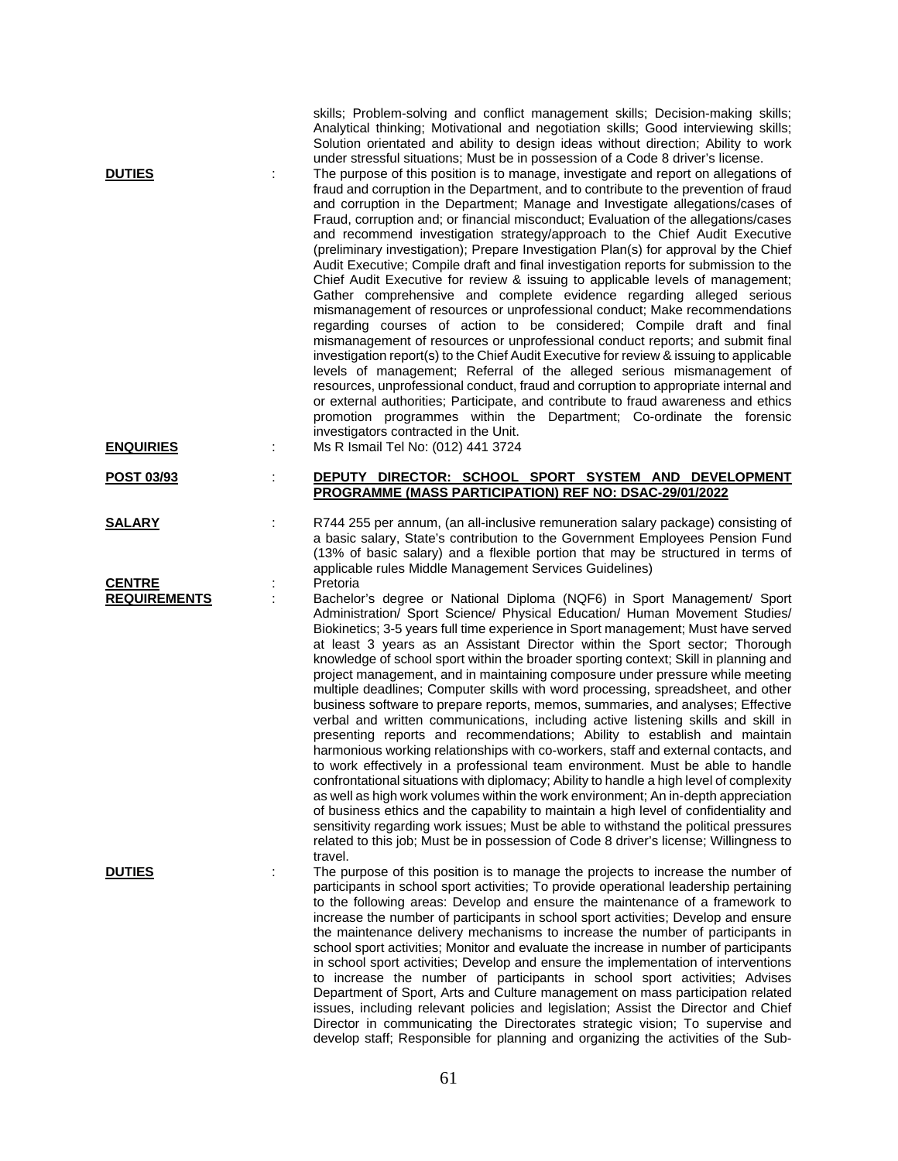| <b>DUTIES</b>                        |   | skills; Problem-solving and conflict management skills; Decision-making skills;<br>Analytical thinking; Motivational and negotiation skills; Good interviewing skills;<br>Solution orientated and ability to design ideas without direction; Ability to work<br>under stressful situations; Must be in possession of a Code 8 driver's license.<br>The purpose of this position is to manage, investigate and report on allegations of<br>fraud and corruption in the Department, and to contribute to the prevention of fraud<br>and corruption in the Department; Manage and Investigate allegations/cases of<br>Fraud, corruption and; or financial misconduct; Evaluation of the allegations/cases<br>and recommend investigation strategy/approach to the Chief Audit Executive<br>(preliminary investigation); Prepare Investigation Plan(s) for approval by the Chief<br>Audit Executive; Compile draft and final investigation reports for submission to the<br>Chief Audit Executive for review & issuing to applicable levels of management;<br>Gather comprehensive and complete evidence regarding alleged serious<br>mismanagement of resources or unprofessional conduct; Make recommendations<br>regarding courses of action to be considered; Compile draft and final<br>mismanagement of resources or unprofessional conduct reports; and submit final<br>investigation report(s) to the Chief Audit Executive for review & issuing to applicable<br>levels of management; Referral of the alleged serious mismanagement of<br>resources, unprofessional conduct, fraud and corruption to appropriate internal and<br>or external authorities; Participate, and contribute to fraud awareness and ethics<br>promotion programmes within the Department; Co-ordinate the forensic<br>investigators contracted in the Unit. |
|--------------------------------------|---|--------------------------------------------------------------------------------------------------------------------------------------------------------------------------------------------------------------------------------------------------------------------------------------------------------------------------------------------------------------------------------------------------------------------------------------------------------------------------------------------------------------------------------------------------------------------------------------------------------------------------------------------------------------------------------------------------------------------------------------------------------------------------------------------------------------------------------------------------------------------------------------------------------------------------------------------------------------------------------------------------------------------------------------------------------------------------------------------------------------------------------------------------------------------------------------------------------------------------------------------------------------------------------------------------------------------------------------------------------------------------------------------------------------------------------------------------------------------------------------------------------------------------------------------------------------------------------------------------------------------------------------------------------------------------------------------------------------------------------------------------------------------------------------------------------------------------------------------|
| <b>ENQUIRIES</b>                     |   | Ms R Ismail Tel No: (012) 441 3724                                                                                                                                                                                                                                                                                                                                                                                                                                                                                                                                                                                                                                                                                                                                                                                                                                                                                                                                                                                                                                                                                                                                                                                                                                                                                                                                                                                                                                                                                                                                                                                                                                                                                                                                                                                                         |
| POST 03/93                           |   | DEPUTY DIRECTOR: SCHOOL SPORT SYSTEM AND DEVELOPMENT<br>PROGRAMME (MASS PARTICIPATION) REF NO: DSAC-29/01/2022                                                                                                                                                                                                                                                                                                                                                                                                                                                                                                                                                                                                                                                                                                                                                                                                                                                                                                                                                                                                                                                                                                                                                                                                                                                                                                                                                                                                                                                                                                                                                                                                                                                                                                                             |
| <b>SALARY</b>                        |   | R744 255 per annum, (an all-inclusive remuneration salary package) consisting of<br>a basic salary, State's contribution to the Government Employees Pension Fund<br>(13% of basic salary) and a flexible portion that may be structured in terms of<br>applicable rules Middle Management Services Guidelines)                                                                                                                                                                                                                                                                                                                                                                                                                                                                                                                                                                                                                                                                                                                                                                                                                                                                                                                                                                                                                                                                                                                                                                                                                                                                                                                                                                                                                                                                                                                            |
| <b>CENTRE</b><br><b>REQUIREMENTS</b> |   | Pretoria<br>Bachelor's degree or National Diploma (NQF6) in Sport Management/ Sport<br>Administration/ Sport Science/ Physical Education/ Human Movement Studies/<br>Biokinetics; 3-5 years full time experience in Sport management; Must have served<br>at least 3 years as an Assistant Director within the Sport sector; Thorough<br>knowledge of school sport within the broader sporting context; Skill in planning and<br>project management, and in maintaining composure under pressure while meeting<br>multiple deadlines; Computer skills with word processing, spreadsheet, and other<br>business software to prepare reports, memos, summaries, and analyses; Effective<br>verbal and written communications, including active listening skills and skill in<br>presenting reports and recommendations; Ability to establish and maintain<br>harmonious working relationships with co-workers, staff and external contacts, and<br>to work effectively in a professional team environment. Must be able to handle<br>confrontational situations with diplomacy; Ability to handle a high level of complexity<br>as well as high work volumes within the work environment; An in-depth appreciation<br>of business ethics and the capability to maintain a high level of confidentiality and<br>sensitivity regarding work issues; Must be able to withstand the political pressures<br>related to this job; Must be in possession of Code 8 driver's license; Willingness to                                                                                                                                                                                                                                                                                                                                                 |
| <b>DUTIES</b>                        | ÷ | travel.<br>The purpose of this position is to manage the projects to increase the number of<br>participants in school sport activities; To provide operational leadership pertaining<br>to the following areas: Develop and ensure the maintenance of a framework to<br>increase the number of participants in school sport activities; Develop and ensure<br>the maintenance delivery mechanisms to increase the number of participants in<br>school sport activities; Monitor and evaluate the increase in number of participants<br>in school sport activities; Develop and ensure the implementation of interventions<br>to increase the number of participants in school sport activities; Advises<br>Department of Sport, Arts and Culture management on mass participation related<br>issues, including relevant policies and legislation; Assist the Director and Chief<br>Director in communicating the Directorates strategic vision; To supervise and<br>develop staff; Responsible for planning and organizing the activities of the Sub-                                                                                                                                                                                                                                                                                                                                                                                                                                                                                                                                                                                                                                                                                                                                                                                      |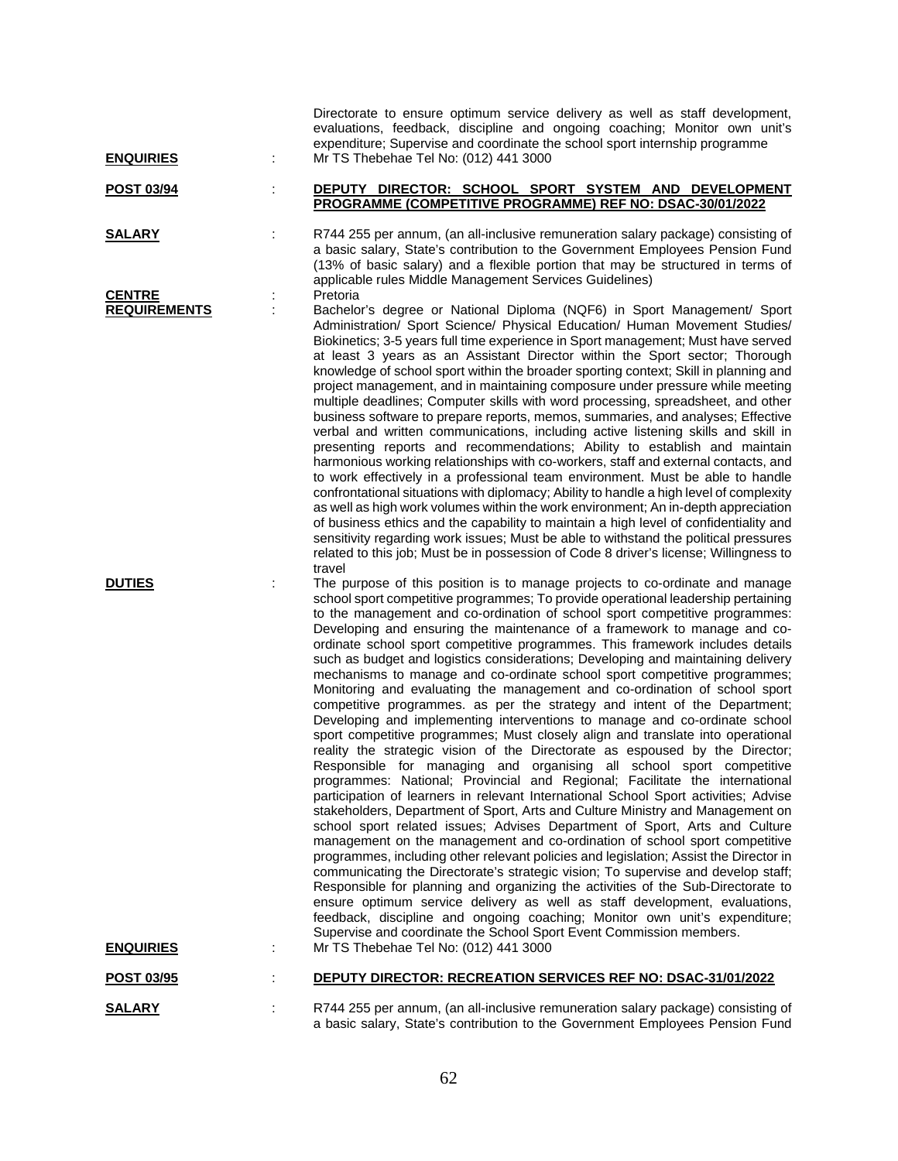| <b>ENQUIRIES</b>                     | Directorate to ensure optimum service delivery as well as staff development,<br>evaluations, feedback, discipline and ongoing coaching; Monitor own unit's<br>expenditure; Supervise and coordinate the school sport internship programme<br>Mr TS Thebehae Tel No: (012) 441 3000                                                                                                                                                                                                                                                                                                                                                                                                                                                                                                                                                                                                                                                                                                                                                                                                                                                                                                                                                                                                                                                                                                                                                                                                                                                                                                                                                                                                                                                                                                                                                                                                                                                                                                                                                                                                                              |
|--------------------------------------|-----------------------------------------------------------------------------------------------------------------------------------------------------------------------------------------------------------------------------------------------------------------------------------------------------------------------------------------------------------------------------------------------------------------------------------------------------------------------------------------------------------------------------------------------------------------------------------------------------------------------------------------------------------------------------------------------------------------------------------------------------------------------------------------------------------------------------------------------------------------------------------------------------------------------------------------------------------------------------------------------------------------------------------------------------------------------------------------------------------------------------------------------------------------------------------------------------------------------------------------------------------------------------------------------------------------------------------------------------------------------------------------------------------------------------------------------------------------------------------------------------------------------------------------------------------------------------------------------------------------------------------------------------------------------------------------------------------------------------------------------------------------------------------------------------------------------------------------------------------------------------------------------------------------------------------------------------------------------------------------------------------------------------------------------------------------------------------------------------------------|
| <b>POST 03/94</b>                    | DEPUTY DIRECTOR: SCHOOL SPORT SYSTEM AND DEVELOPMENT<br>PROGRAMME (COMPETITIVE PROGRAMME) REF NO: DSAC-30/01/2022                                                                                                                                                                                                                                                                                                                                                                                                                                                                                                                                                                                                                                                                                                                                                                                                                                                                                                                                                                                                                                                                                                                                                                                                                                                                                                                                                                                                                                                                                                                                                                                                                                                                                                                                                                                                                                                                                                                                                                                               |
| <b>SALARY</b>                        | R744 255 per annum, (an all-inclusive remuneration salary package) consisting of<br>a basic salary, State's contribution to the Government Employees Pension Fund<br>(13% of basic salary) and a flexible portion that may be structured in terms of<br>applicable rules Middle Management Services Guidelines)                                                                                                                                                                                                                                                                                                                                                                                                                                                                                                                                                                                                                                                                                                                                                                                                                                                                                                                                                                                                                                                                                                                                                                                                                                                                                                                                                                                                                                                                                                                                                                                                                                                                                                                                                                                                 |
| <b>CENTRE</b><br><b>REQUIREMENTS</b> | Pretoria<br>Bachelor's degree or National Diploma (NQF6) in Sport Management/ Sport<br>Administration/ Sport Science/ Physical Education/ Human Movement Studies/<br>Biokinetics; 3-5 years full time experience in Sport management; Must have served<br>at least 3 years as an Assistant Director within the Sport sector; Thorough<br>knowledge of school sport within the broader sporting context; Skill in planning and<br>project management, and in maintaining composure under pressure while meeting<br>multiple deadlines; Computer skills with word processing, spreadsheet, and other<br>business software to prepare reports, memos, summaries, and analyses; Effective<br>verbal and written communications, including active listening skills and skill in<br>presenting reports and recommendations; Ability to establish and maintain<br>harmonious working relationships with co-workers, staff and external contacts, and<br>to work effectively in a professional team environment. Must be able to handle<br>confrontational situations with diplomacy; Ability to handle a high level of complexity<br>as well as high work volumes within the work environment; An in-depth appreciation<br>of business ethics and the capability to maintain a high level of confidentiality and                                                                                                                                                                                                                                                                                                                                                                                                                                                                                                                                                                                                                                                                                                                                                                                                       |
| <b>DUTIES</b>                        | sensitivity regarding work issues; Must be able to withstand the political pressures<br>related to this job; Must be in possession of Code 8 driver's license; Willingness to<br>travel<br>The purpose of this position is to manage projects to co-ordinate and manage<br>school sport competitive programmes; To provide operational leadership pertaining<br>to the management and co-ordination of school sport competitive programmes:<br>Developing and ensuring the maintenance of a framework to manage and co-<br>ordinate school sport competitive programmes. This framework includes details<br>such as budget and logistics considerations; Developing and maintaining delivery<br>mechanisms to manage and co-ordinate school sport competitive programmes;<br>Monitoring and evaluating the management and co-ordination of school sport<br>competitive programmes. as per the strategy and intent of the Department;<br>Developing and implementing interventions to manage and co-ordinate school<br>sport competitive programmes; Must closely align and translate into operational<br>reality the strategic vision of the Directorate as espoused by the Director;<br>Responsible for managing and organising all school sport competitive<br>programmes: National; Provincial and Regional; Facilitate the international<br>participation of learners in relevant International School Sport activities; Advise<br>stakeholders, Department of Sport, Arts and Culture Ministry and Management on<br>school sport related issues; Advises Department of Sport, Arts and Culture<br>management on the management and co-ordination of school sport competitive<br>programmes, including other relevant policies and legislation; Assist the Director in<br>communicating the Directorate's strategic vision; To supervise and develop staff;<br>Responsible for planning and organizing the activities of the Sub-Directorate to<br>ensure optimum service delivery as well as staff development, evaluations,<br>feedback, discipline and ongoing coaching; Monitor own unit's expenditure; |
| <b>ENQUIRIES</b>                     | Supervise and coordinate the School Sport Event Commission members.<br>Mr TS Thebehae Tel No: (012) 441 3000                                                                                                                                                                                                                                                                                                                                                                                                                                                                                                                                                                                                                                                                                                                                                                                                                                                                                                                                                                                                                                                                                                                                                                                                                                                                                                                                                                                                                                                                                                                                                                                                                                                                                                                                                                                                                                                                                                                                                                                                    |
| <b>POST 03/95</b>                    | <b>DEPUTY DIRECTOR: RECREATION SERVICES REF NO: DSAC-31/01/2022</b>                                                                                                                                                                                                                                                                                                                                                                                                                                                                                                                                                                                                                                                                                                                                                                                                                                                                                                                                                                                                                                                                                                                                                                                                                                                                                                                                                                                                                                                                                                                                                                                                                                                                                                                                                                                                                                                                                                                                                                                                                                             |
| <b>SALARY</b>                        | R744 255 per annum, (an all-inclusive remuneration salary package) consisting of<br>a basic salary, State's contribution to the Government Employees Pension Fund                                                                                                                                                                                                                                                                                                                                                                                                                                                                                                                                                                                                                                                                                                                                                                                                                                                                                                                                                                                                                                                                                                                                                                                                                                                                                                                                                                                                                                                                                                                                                                                                                                                                                                                                                                                                                                                                                                                                               |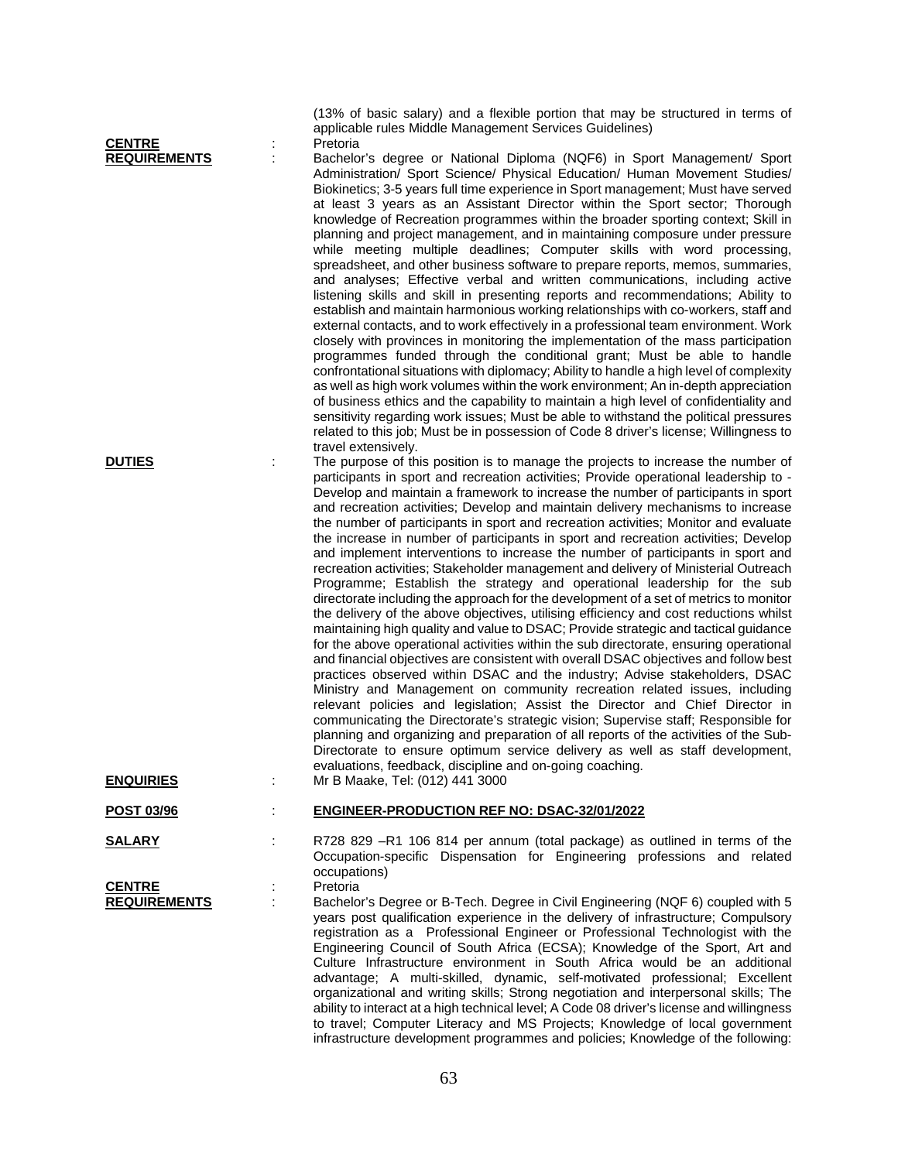| <b>CENTRE</b>                        |   | (13% of basic salary) and a flexible portion that may be structured in terms of<br>applicable rules Middle Management Services Guidelines)<br>Pretoria                                                                                                                                                                                                                                                                                                                                                                                                                                                                                                                                                                                                                                                                                                                                                                                                                                                                                                                                                                                                                                                                                                                                                                                                                                                                                                                                                                                                                                                                                                                                                                                                                                                                                                                                                                                                                                                                                                                                                                                                                                                                                                                                                                                                                                                                                                                                                                                                                                                                                                                                                                                                                                                                                                                                                                                                                                                                                                                 |
|--------------------------------------|---|------------------------------------------------------------------------------------------------------------------------------------------------------------------------------------------------------------------------------------------------------------------------------------------------------------------------------------------------------------------------------------------------------------------------------------------------------------------------------------------------------------------------------------------------------------------------------------------------------------------------------------------------------------------------------------------------------------------------------------------------------------------------------------------------------------------------------------------------------------------------------------------------------------------------------------------------------------------------------------------------------------------------------------------------------------------------------------------------------------------------------------------------------------------------------------------------------------------------------------------------------------------------------------------------------------------------------------------------------------------------------------------------------------------------------------------------------------------------------------------------------------------------------------------------------------------------------------------------------------------------------------------------------------------------------------------------------------------------------------------------------------------------------------------------------------------------------------------------------------------------------------------------------------------------------------------------------------------------------------------------------------------------------------------------------------------------------------------------------------------------------------------------------------------------------------------------------------------------------------------------------------------------------------------------------------------------------------------------------------------------------------------------------------------------------------------------------------------------------------------------------------------------------------------------------------------------------------------------------------------------------------------------------------------------------------------------------------------------------------------------------------------------------------------------------------------------------------------------------------------------------------------------------------------------------------------------------------------------------------------------------------------------------------------------------------------------|
| <b>REQUIREMENTS</b><br><b>DUTIES</b> | t | Bachelor's degree or National Diploma (NQF6) in Sport Management/ Sport<br>Administration/ Sport Science/ Physical Education/ Human Movement Studies/<br>Biokinetics; 3-5 years full time experience in Sport management; Must have served<br>at least 3 years as an Assistant Director within the Sport sector; Thorough<br>knowledge of Recreation programmes within the broader sporting context; Skill in<br>planning and project management, and in maintaining composure under pressure<br>while meeting multiple deadlines; Computer skills with word processing,<br>spreadsheet, and other business software to prepare reports, memos, summaries,<br>and analyses; Effective verbal and written communications, including active<br>listening skills and skill in presenting reports and recommendations; Ability to<br>establish and maintain harmonious working relationships with co-workers, staff and<br>external contacts, and to work effectively in a professional team environment. Work<br>closely with provinces in monitoring the implementation of the mass participation<br>programmes funded through the conditional grant; Must be able to handle<br>confrontational situations with diplomacy; Ability to handle a high level of complexity<br>as well as high work volumes within the work environment; An in-depth appreciation<br>of business ethics and the capability to maintain a high level of confidentiality and<br>sensitivity regarding work issues; Must be able to withstand the political pressures<br>related to this job; Must be in possession of Code 8 driver's license; Willingness to<br>travel extensively.<br>The purpose of this position is to manage the projects to increase the number of<br>participants in sport and recreation activities; Provide operational leadership to -<br>Develop and maintain a framework to increase the number of participants in sport<br>and recreation activities; Develop and maintain delivery mechanisms to increase<br>the number of participants in sport and recreation activities; Monitor and evaluate<br>the increase in number of participants in sport and recreation activities; Develop<br>and implement interventions to increase the number of participants in sport and<br>recreation activities; Stakeholder management and delivery of Ministerial Outreach<br>Programme; Establish the strategy and operational leadership for the sub<br>directorate including the approach for the development of a set of metrics to monitor<br>the delivery of the above objectives, utilising efficiency and cost reductions whilst<br>maintaining high quality and value to DSAC; Provide strategic and tactical guidance<br>for the above operational activities within the sub directorate, ensuring operational<br>and financial objectives are consistent with overall DSAC objectives and follow best<br>practices observed within DSAC and the industry; Advise stakeholders, DSAC<br>Ministry and Management on community recreation related issues, including |
|                                      |   | relevant policies and legislation; Assist the Director and Chief Director in<br>communicating the Directorate's strategic vision; Supervise staff; Responsible for<br>planning and organizing and preparation of all reports of the activities of the Sub-                                                                                                                                                                                                                                                                                                                                                                                                                                                                                                                                                                                                                                                                                                                                                                                                                                                                                                                                                                                                                                                                                                                                                                                                                                                                                                                                                                                                                                                                                                                                                                                                                                                                                                                                                                                                                                                                                                                                                                                                                                                                                                                                                                                                                                                                                                                                                                                                                                                                                                                                                                                                                                                                                                                                                                                                             |
|                                      |   | Directorate to ensure optimum service delivery as well as staff development,<br>evaluations, feedback, discipline and on-going coaching.                                                                                                                                                                                                                                                                                                                                                                                                                                                                                                                                                                                                                                                                                                                                                                                                                                                                                                                                                                                                                                                                                                                                                                                                                                                                                                                                                                                                                                                                                                                                                                                                                                                                                                                                                                                                                                                                                                                                                                                                                                                                                                                                                                                                                                                                                                                                                                                                                                                                                                                                                                                                                                                                                                                                                                                                                                                                                                                               |
| <b>ENQUIRIES</b>                     | ÷ | Mr B Maake, Tel: (012) 441 3000                                                                                                                                                                                                                                                                                                                                                                                                                                                                                                                                                                                                                                                                                                                                                                                                                                                                                                                                                                                                                                                                                                                                                                                                                                                                                                                                                                                                                                                                                                                                                                                                                                                                                                                                                                                                                                                                                                                                                                                                                                                                                                                                                                                                                                                                                                                                                                                                                                                                                                                                                                                                                                                                                                                                                                                                                                                                                                                                                                                                                                        |
| <b>POST 03/96</b>                    | ÷ | <b>ENGINEER-PRODUCTION REF NO: DSAC-32/01/2022</b>                                                                                                                                                                                                                                                                                                                                                                                                                                                                                                                                                                                                                                                                                                                                                                                                                                                                                                                                                                                                                                                                                                                                                                                                                                                                                                                                                                                                                                                                                                                                                                                                                                                                                                                                                                                                                                                                                                                                                                                                                                                                                                                                                                                                                                                                                                                                                                                                                                                                                                                                                                                                                                                                                                                                                                                                                                                                                                                                                                                                                     |
| <b>SALARY</b><br><b>CENTRE</b>       |   | R728 829 -R1 106 814 per annum (total package) as outlined in terms of the<br>Occupation-specific Dispensation for Engineering professions and related<br>occupations)<br>Pretoria                                                                                                                                                                                                                                                                                                                                                                                                                                                                                                                                                                                                                                                                                                                                                                                                                                                                                                                                                                                                                                                                                                                                                                                                                                                                                                                                                                                                                                                                                                                                                                                                                                                                                                                                                                                                                                                                                                                                                                                                                                                                                                                                                                                                                                                                                                                                                                                                                                                                                                                                                                                                                                                                                                                                                                                                                                                                                     |
| <b>REQUIREMENTS</b>                  | ÷ | Bachelor's Degree or B-Tech. Degree in Civil Engineering (NQF 6) coupled with 5<br>years post qualification experience in the delivery of infrastructure; Compulsory<br>registration as a Professional Engineer or Professional Technologist with the<br>Engineering Council of South Africa (ECSA); Knowledge of the Sport, Art and<br>Culture Infrastructure environment in South Africa would be an additional<br>advantage; A multi-skilled, dynamic, self-motivated professional; Excellent<br>organizational and writing skills; Strong negotiation and interpersonal skills; The<br>ability to interact at a high technical level; A Code 08 driver's license and willingness<br>to travel; Computer Literacy and MS Projects; Knowledge of local government                                                                                                                                                                                                                                                                                                                                                                                                                                                                                                                                                                                                                                                                                                                                                                                                                                                                                                                                                                                                                                                                                                                                                                                                                                                                                                                                                                                                                                                                                                                                                                                                                                                                                                                                                                                                                                                                                                                                                                                                                                                                                                                                                                                                                                                                                                    |

infrastructure development programmes and policies; Knowledge of the following: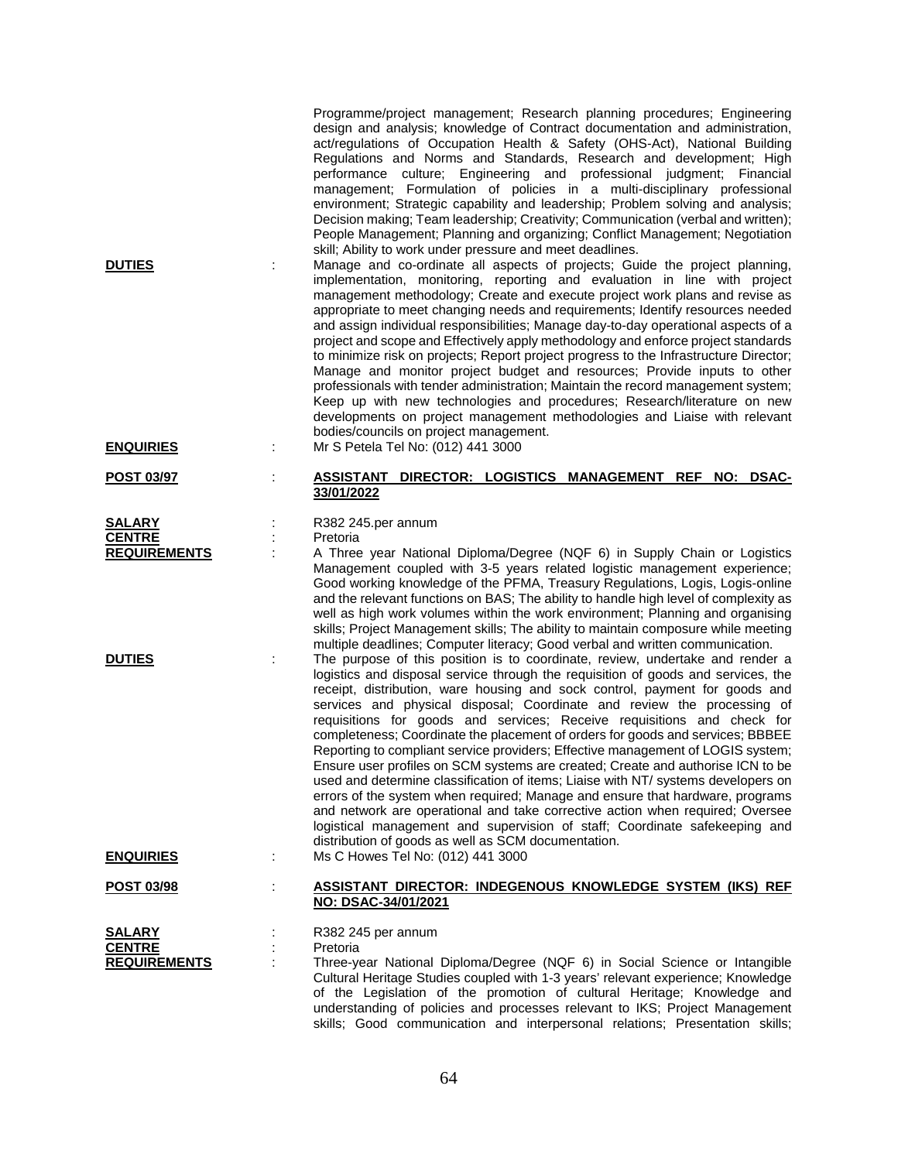| <b>DUTIES</b><br><b>ENQUIRIES</b>                     | ÷ | Programme/project management; Research planning procedures; Engineering<br>design and analysis; knowledge of Contract documentation and administration,<br>act/regulations of Occupation Health & Safety (OHS-Act), National Building<br>Regulations and Norms and Standards, Research and development; High<br>performance culture; Engineering and professional judgment; Financial<br>management; Formulation of policies in a multi-disciplinary professional<br>environment; Strategic capability and leadership; Problem solving and analysis;<br>Decision making; Team leadership; Creativity; Communication (verbal and written);<br>People Management; Planning and organizing; Conflict Management; Negotiation<br>skill; Ability to work under pressure and meet deadlines.<br>Manage and co-ordinate all aspects of projects; Guide the project planning,<br>implementation, monitoring, reporting and evaluation in line with project<br>management methodology; Create and execute project work plans and revise as<br>appropriate to meet changing needs and requirements; Identify resources needed<br>and assign individual responsibilities; Manage day-to-day operational aspects of a<br>project and scope and Effectively apply methodology and enforce project standards<br>to minimize risk on projects; Report project progress to the Infrastructure Director;<br>Manage and monitor project budget and resources; Provide inputs to other<br>professionals with tender administration; Maintain the record management system;<br>Keep up with new technologies and procedures; Research/literature on new<br>developments on project management methodologies and Liaise with relevant<br>bodies/councils on project management.<br>Mr S Petela Tel No: (012) 441 3000 |
|-------------------------------------------------------|---|--------------------------------------------------------------------------------------------------------------------------------------------------------------------------------------------------------------------------------------------------------------------------------------------------------------------------------------------------------------------------------------------------------------------------------------------------------------------------------------------------------------------------------------------------------------------------------------------------------------------------------------------------------------------------------------------------------------------------------------------------------------------------------------------------------------------------------------------------------------------------------------------------------------------------------------------------------------------------------------------------------------------------------------------------------------------------------------------------------------------------------------------------------------------------------------------------------------------------------------------------------------------------------------------------------------------------------------------------------------------------------------------------------------------------------------------------------------------------------------------------------------------------------------------------------------------------------------------------------------------------------------------------------------------------------------------------------------------------------------------------------------------------------------------------|
|                                                       |   |                                                                                                                                                                                                                                                                                                                                                                                                                                                                                                                                                                                                                                                                                                                                                                                                                                                                                                                                                                                                                                                                                                                                                                                                                                                                                                                                                                                                                                                                                                                                                                                                                                                                                                                                                                                                  |
| POST 03/97                                            | ÷ | DIRECTOR: LOGISTICS MANAGEMENT<br><b>REF</b><br>NO:<br><b>DSAC-</b><br>ASSISTANT<br>33/01/2022                                                                                                                                                                                                                                                                                                                                                                                                                                                                                                                                                                                                                                                                                                                                                                                                                                                                                                                                                                                                                                                                                                                                                                                                                                                                                                                                                                                                                                                                                                                                                                                                                                                                                                   |
| <b>SALARY</b><br><b>CENTRE</b><br><b>REQUIREMENTS</b> |   | R382 245.per annum<br>Pretoria<br>A Three year National Diploma/Degree (NQF 6) in Supply Chain or Logistics<br>Management coupled with 3-5 years related logistic management experience;                                                                                                                                                                                                                                                                                                                                                                                                                                                                                                                                                                                                                                                                                                                                                                                                                                                                                                                                                                                                                                                                                                                                                                                                                                                                                                                                                                                                                                                                                                                                                                                                         |
|                                                       |   | Good working knowledge of the PFMA, Treasury Regulations, Logis, Logis-online<br>and the relevant functions on BAS; The ability to handle high level of complexity as<br>well as high work volumes within the work environment; Planning and organising<br>skills; Project Management skills; The ability to maintain composure while meeting<br>multiple deadlines; Computer literacy; Good verbal and written communication.                                                                                                                                                                                                                                                                                                                                                                                                                                                                                                                                                                                                                                                                                                                                                                                                                                                                                                                                                                                                                                                                                                                                                                                                                                                                                                                                                                   |
| <b>DUTIES</b>                                         |   | The purpose of this position is to coordinate, review, undertake and render a<br>logistics and disposal service through the requisition of goods and services, the<br>receipt, distribution, ware housing and sock control, payment for goods and<br>services and physical disposal; Coordinate and review the processing of<br>requisitions for goods and services; Receive requisitions and check for<br>completeness; Coordinate the placement of orders for goods and services; BBBEE<br>Reporting to compliant service providers; Effective management of LOGIS system;<br>Ensure user profiles on SCM systems are created; Create and authorise ICN to be<br>used and determine classification of items; Liaise with NT/ systems developers on<br>errors of the system when required; Manage and ensure that hardware, programs<br>and network are operational and take corrective action when required; Oversee<br>logistical management and supervision of staff; Coordinate safekeeping and<br>distribution of goods as well as SCM documentation.                                                                                                                                                                                                                                                                                                                                                                                                                                                                                                                                                                                                                                                                                                                                      |
| <b>ENQUIRIES</b>                                      | ÷ | Ms C Howes Tel No: (012) 441 3000                                                                                                                                                                                                                                                                                                                                                                                                                                                                                                                                                                                                                                                                                                                                                                                                                                                                                                                                                                                                                                                                                                                                                                                                                                                                                                                                                                                                                                                                                                                                                                                                                                                                                                                                                                |
| <b>POST 03/98</b>                                     | ÷ | <b>ASSISTANT DIRECTOR: INDEGENOUS KNOWLEDGE SYSTEM (IKS) REF</b><br>NO: DSAC-34/01/2021                                                                                                                                                                                                                                                                                                                                                                                                                                                                                                                                                                                                                                                                                                                                                                                                                                                                                                                                                                                                                                                                                                                                                                                                                                                                                                                                                                                                                                                                                                                                                                                                                                                                                                          |
| <b>SALARY</b>                                         |   | R382 245 per annum                                                                                                                                                                                                                                                                                                                                                                                                                                                                                                                                                                                                                                                                                                                                                                                                                                                                                                                                                                                                                                                                                                                                                                                                                                                                                                                                                                                                                                                                                                                                                                                                                                                                                                                                                                               |
| <b>CENTRE</b><br><b>REQUIREMENTS</b>                  |   | Pretoria<br>Three-year National Diploma/Degree (NQF 6) in Social Science or Intangible<br>Cultural Heritage Studies coupled with 1-3 years' relevant experience; Knowledge<br>of the Legislation of the promotion of cultural Heritage; Knowledge and<br>understanding of policies and processes relevant to IKS; Project Management                                                                                                                                                                                                                                                                                                                                                                                                                                                                                                                                                                                                                                                                                                                                                                                                                                                                                                                                                                                                                                                                                                                                                                                                                                                                                                                                                                                                                                                             |

skills; Good communication and interpersonal relations; Presentation skills;